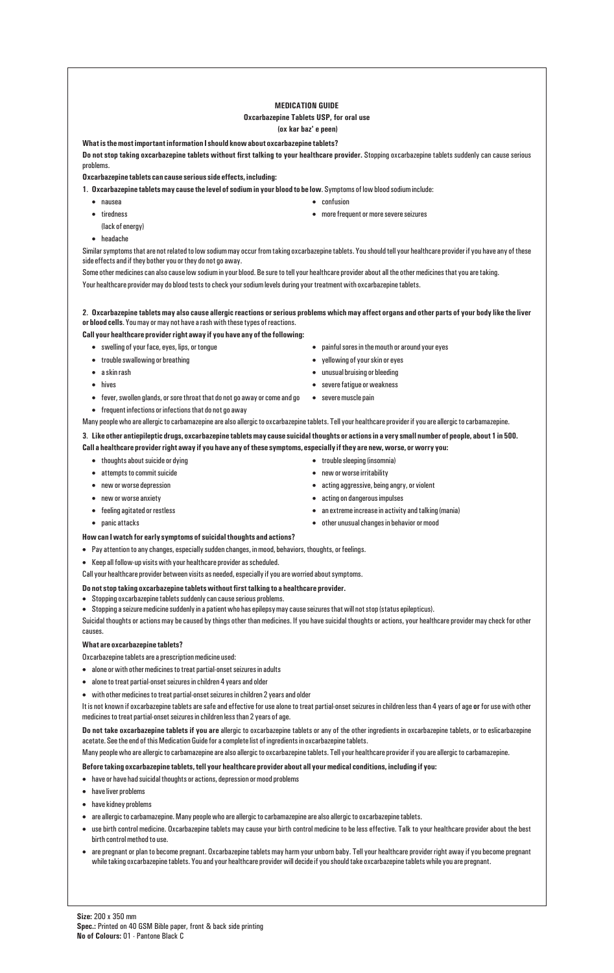# **MEDICATION GUIDE Oxcarbazepine Tablets USP, for oral use**

# **(ox kar baz' e peen)**

**What is the most important information I should know about oxcarbazepine tablets?**

**Do not stop taking oxcarbazepine tablets without first talking to your healthcare provider.** Stopping oxcarbazepine tablets suddenly can cause serious problems.

- 
- $\bullet$  nausea  $\bullet$  confusion
- tiredness more frequent or more severe seizures
- (lack of energy)
- · headache

**Oxcarbazepine tablets can cause serious side effects, including:**

**1**. **Oxcarbazepine tablets may cause the level of sodium in your blood to be low**. Symptoms of low blood sodium include:

Similar symptoms that are not related to low sodium may occur from taking oxcarbazepine tablets. You should tell your healthcare provider if you have any of these side effects and if they bother you or they do not go away.

- 
- trouble swallowing or breathing  $\bullet$  yellowing of your skin or eyes
- 
- 
- fever, swollen glands, or sore throat that do not go away or come and go severe muscle pain
- · frequent infections or infections that do not go away

Some other medicines can also cause low sodium in your blood. Be sure to tell your healthcare provider about all the other medicines that you are taking. Your healthcare provider may do blood tests to check your sodium levels during your treatment with oxcarbazepine tablets.

**2**. **Oxcarbazepine tablets may also cause allergic reactions or serious problems which may affect organs and other parts of your body like the liver or blood cells**. You may or may not have a rash with these types of reactions.

# **Call your healthcare provider right away if you have any of the following:**

Many people who are allergic to carbamazepine are also allergic to oxcarbazepine tablets. Tell your healthcare provider if you are allergic to carbamazepine.

**3**. **Like other antiepileptic drugs, oxcarbazepine tabletsmay cause suicidal thoughts or actions in a very small number of people, about 1 in 500. Call a healthcare provider right away if you have any of these symptoms, especially if they are new, worse, or worry you:**

- · thoughts about suicide or dying · trouble sleeping (insomnia)
- attempts to commit suicide  $\bullet$  new or worse irritability
- new or worse depression  $\bullet$  acting aggressive, being angry, or violent
- new or worse anxiety  $\bullet$  acting on dangerous impulses
- feeling agitated or restless  $\bullet$  an extreme increase in activity and talking (mania)
- · panic attacks · other unusual changes in behavior or mood
- **How can I watch for early symptoms of suicidal thoughts and actions?**
- · Pay attention to any changes, especially sudden changes, in mood, behaviors, thoughts, or feelings.
- · Keep all follow-up visits with your healthcare provider as scheduled.

Call your healthcare provider between visits as needed, especially if you are worried about symptoms.

# **Do not stop taking oxcarbazepine tabletswithout first talking to a healthcare provider.**

- · Stopping oxcarbazepine tablets suddenly can cause serious problems.
- · Stopping a seizure medicine suddenly in a patient who has epilepsy may cause seizures that will not stop (status epilepticus).

Suicidal thoughts or actions may be caused by things other than medicines. If you have suicidal thoughts or actions, your healthcare provider may check for other causes.

# **What are oxcarbazepine tablets?**

Oxcarbazepine tablets are a prescription medicine used:

- · alone or with other medicines to treat partial-onset seizures in adults
- · alone to treat partial-onset seizures in children 4 years and older
- · with other medicines to treat partial-onset seizures in children 2 years and older

It is not known if oxcarbazepine tablets are safe and effective for use alone to treat partial-onset seizures in children less than 4 years of age **or** for use with other medicines to treat partial-onset seizures in children less than 2 years of age.

**Do not take oxcarbazepine tablets if you are** allergic to oxcarbazepine tablets or any of the other ingredients in oxcarbazepine tablets, or to eslicarbazepine acetate. See the end of this Medication Guide for a complete list of ingredients in oxcarbazepine tablets.

Many people who are allergic to carbamazepine are also allergic to oxcarbazepine tablets. Tell your healthcare provider if you are allergic to carbamazepine.

- swelling of your face, eyes, lips, or tongue **we can be a compared to a constant of the mouth** or around your eyes
	-
- a skin rash · unusual bruising or bleeding
- hives severe fatigue or weakness
	-

**Before taking oxcarbazepine tablets, tell your healthcare provider about all your medical conditions, including if you:**

- · have or have had suicidal thoughts or actions, depression or mood problems
- · have liver problems
- · have kidney problems
- · are allergic to carbamazepine. Many people who are allergic to carbamazepine are also allergic to oxcarbazepine tablets.
- use birth control medicine. Oxcarbazepine tablets may cause your birth control medicine to be less effective. Talk to your healthcare provider about the best birth control method to use.
- · are pregnant or plan to become pregnant. Oxcarbazepine tablets may harm your unborn baby. Tell your healthcare provider right away if you become pregnant while taking oxcarbazepine tablets. You and your healthcare provider will decide if you should take oxcarbazepine tablets while you are pregnant.

**Size:** 200 x 350 mm **Spec.:** Printed on 40 GSM Bible paper, front & back side printing **No of Colours:** 01 - Pantone Black C